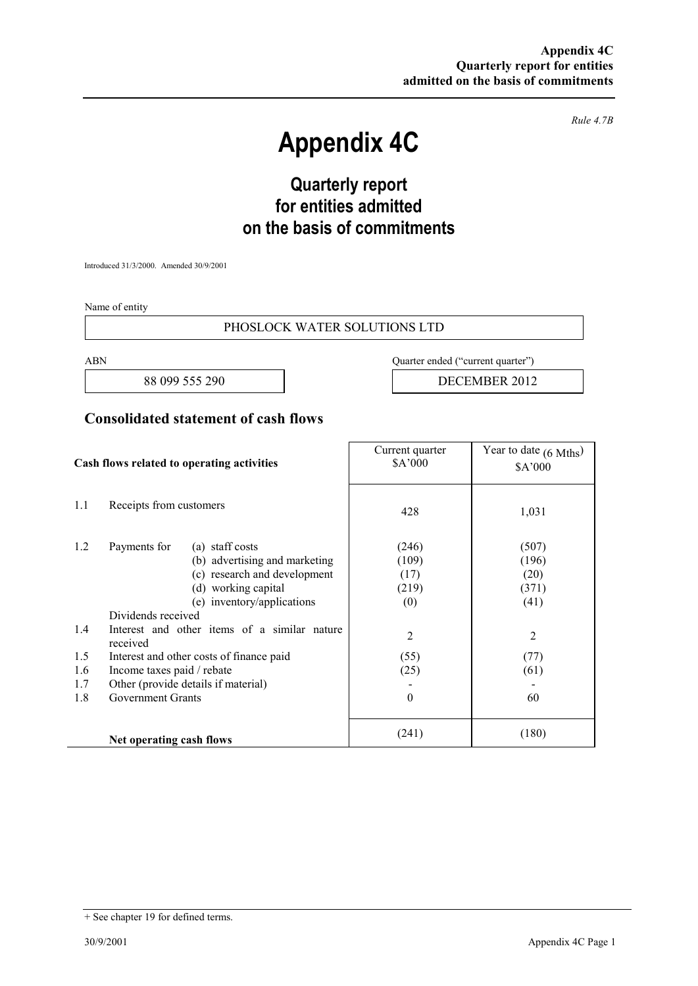*Rule 4.7B* 

# **Appendix 4C**

# **Quarterly report for entities admitted on the basis of commitments**

Introduced 31/3/2000. Amended 30/9/2001

Name of entity

#### PHOSLOCK WATER SOLUTIONS LTD

ABN Quarter ended ("current quarter")

88 099 555 290 **DECEMBER 2012** 

### **Consolidated statement of cash flows**

| Cash flows related to operating activities |                                                                                                                                                                                                                                                                                                                                                                                      | Current quarter<br>\$A'000                                              | Year to date $(6 \text{ Mths})$<br>\$A'000                         |
|--------------------------------------------|--------------------------------------------------------------------------------------------------------------------------------------------------------------------------------------------------------------------------------------------------------------------------------------------------------------------------------------------------------------------------------------|-------------------------------------------------------------------------|--------------------------------------------------------------------|
| 1.1                                        | Receipts from customers                                                                                                                                                                                                                                                                                                                                                              | 428                                                                     | 1,031                                                              |
| 1.2<br>1.4<br>1.5<br>1.6<br>1.7<br>1.8     | Payments for<br>(a) staff costs<br>(b) advertising and marketing<br>(c) research and development<br>(d) working capital<br>(e) inventory/applications<br>Dividends received<br>Interest and other items of a similar nature<br>received<br>Interest and other costs of finance paid<br>Income taxes paid / rebate<br>Other (provide details if material)<br><b>Government Grants</b> | (246)<br>(109)<br>(17)<br>(219)<br>(0)<br>2<br>(55)<br>(25)<br>$\theta$ | (507)<br>(196)<br>(20)<br>(371)<br>(41)<br>2<br>(77)<br>(61)<br>60 |
|                                            | Net operating cash flows                                                                                                                                                                                                                                                                                                                                                             | (241)                                                                   | (180)                                                              |

<sup>+</sup> See chapter 19 for defined terms.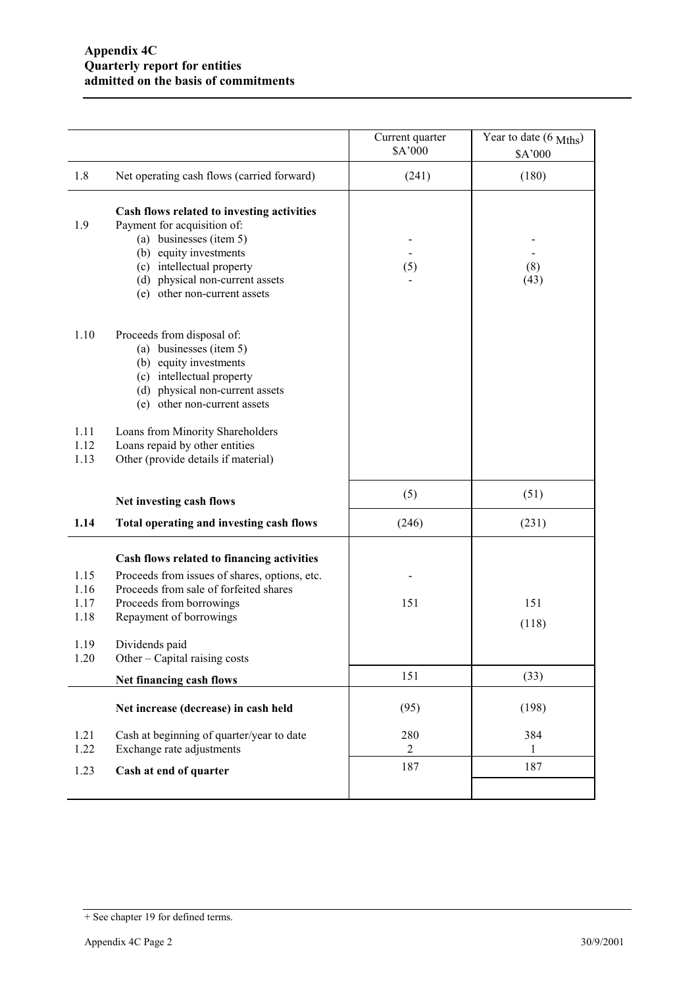|                              |                                                                                                                                                                                                                                | Current quarter<br>\$A'000 | Year to date (6 Mths)<br>\$A'000 |
|------------------------------|--------------------------------------------------------------------------------------------------------------------------------------------------------------------------------------------------------------------------------|----------------------------|----------------------------------|
| 1.8                          | Net operating cash flows (carried forward)                                                                                                                                                                                     | (241)                      | (180)                            |
| 1.9                          | Cash flows related to investing activities<br>Payment for acquisition of:<br>(a) businesses (item 5)<br>(b) equity investments<br>(c) intellectual property<br>(d) physical non-current assets<br>(e) other non-current assets | (5)                        | (8)<br>(43)                      |
| 1.10                         | Proceeds from disposal of:<br>(a) businesses (item 5)<br>(b) equity investments<br>(c) intellectual property<br>(d) physical non-current assets<br>(e) other non-current assets                                                |                            |                                  |
| 1.11<br>1.12<br>1.13         | Loans from Minority Shareholders<br>Loans repaid by other entities<br>Other (provide details if material)                                                                                                                      |                            |                                  |
|                              | Net investing cash flows                                                                                                                                                                                                       | (5)                        | (51)                             |
| 1.14                         | Total operating and investing cash flows                                                                                                                                                                                       | (246)                      | (231)                            |
| 1.15<br>1.16<br>1.17<br>1.18 | Cash flows related to financing activities<br>Proceeds from issues of shares, options, etc.<br>Proceeds from sale of forfeited shares<br>Proceeds from borrowings<br>Repayment of borrowings                                   | 151                        | 151<br>(118)                     |
| 1.19<br>1.20                 | Dividends paid<br>Other – Capital raising costs                                                                                                                                                                                |                            |                                  |
|                              | Net financing cash flows                                                                                                                                                                                                       | 151                        | (33)                             |
|                              | Net increase (decrease) in cash held                                                                                                                                                                                           | (95)                       | (198)                            |
| 1.21<br>1.22                 | Cash at beginning of quarter/year to date<br>Exchange rate adjustments                                                                                                                                                         | 280<br>2                   | 384<br>1                         |
| 1.23                         | Cash at end of quarter                                                                                                                                                                                                         | 187                        | 187                              |
|                              |                                                                                                                                                                                                                                |                            |                                  |

<sup>+</sup> See chapter 19 for defined terms.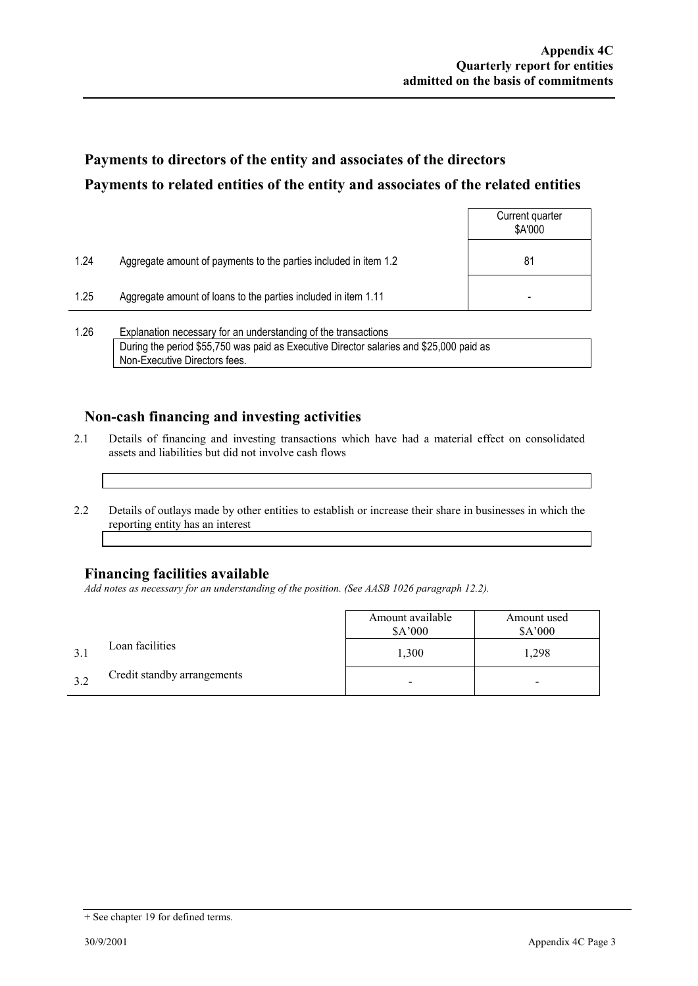## **Payments to directors of the entity and associates of the directors Payments to related entities of the entity and associates of the related entities**

|      |                                                                  | Current quarter<br>\$A'000 |
|------|------------------------------------------------------------------|----------------------------|
| 1.24 | Aggregate amount of payments to the parties included in item 1.2 | 81                         |
| 1.25 | Aggregate amount of loans to the parties included in item 1.11   | -                          |
|      |                                                                  |                            |

1.26 Explanation necessary for an understanding of the transactions During the period \$55,750 was paid as Executive Director salaries and \$25,000 paid as Non-Executive Directors fees.

### **Non-cash financing and investing activities**

- 2.1 Details of financing and investing transactions which have had a material effect on consolidated assets and liabilities but did not involve cash flows
- 2.2 Details of outlays made by other entities to establish or increase their share in businesses in which the reporting entity has an interest

#### **Financing facilities available**

*Add notes as necessary for an understanding of the position. (See AASB 1026 paragraph 12.2).* 

|     |                             | Amount available<br>\$A'000 | Amount used<br>\$A'000 |
|-----|-----------------------------|-----------------------------|------------------------|
|     | Loan facilities             | 1,300                       | 1,298                  |
| 3.2 | Credit standby arrangements | -                           | $\,$                   |

<sup>+</sup> See chapter 19 for defined terms.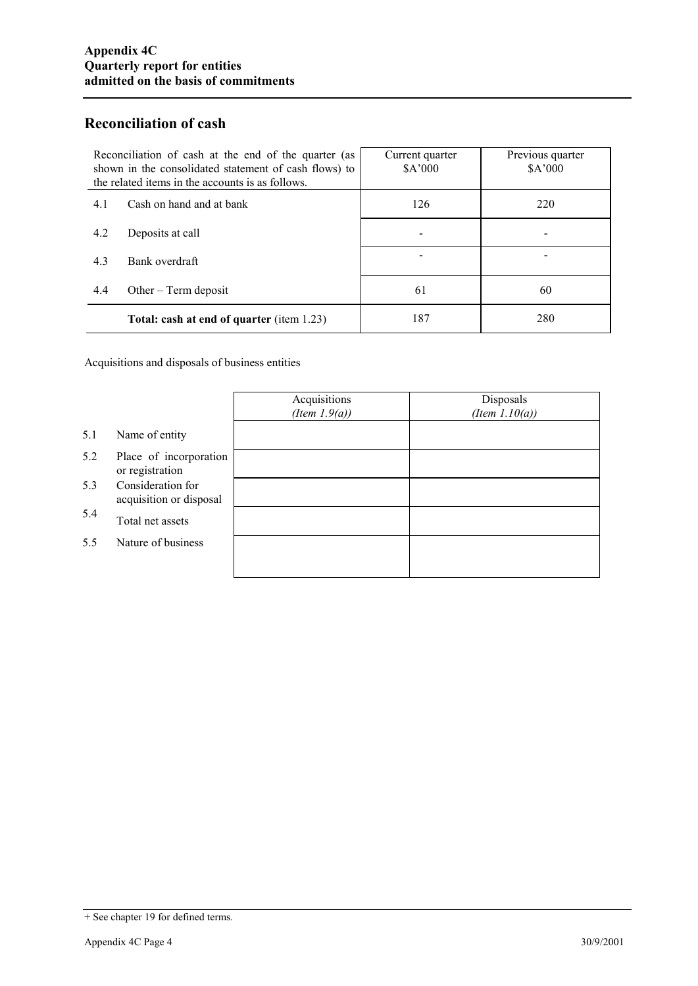### **Reconciliation of cash**

| Reconciliation of cash at the end of the quarter (as<br>shown in the consolidated statement of cash flows) to<br>the related items in the accounts is as follows. |                                                  | Current quarter<br>\$A'000 | Previous quarter<br>\$A'000 |
|-------------------------------------------------------------------------------------------------------------------------------------------------------------------|--------------------------------------------------|----------------------------|-----------------------------|
| 4.1                                                                                                                                                               | Cash on hand and at bank                         | 126                        | 220                         |
| 4.2                                                                                                                                                               | Deposits at call                                 |                            |                             |
| 4.3                                                                                                                                                               | Bank overdraft                                   |                            |                             |
| 4.4                                                                                                                                                               | Other $-$ Term deposit                           | 61                         | 60                          |
|                                                                                                                                                                   | <b>Total: cash at end of quarter (item 1.23)</b> | 187                        | 280                         |

Acquisitions and disposals of business entities

|     |                                              | Acquisitions<br>(Item $1.9(a)$ ) | Disposals<br>(Item $1.10(a)$ ) |
|-----|----------------------------------------------|----------------------------------|--------------------------------|
| 5.1 | Name of entity                               |                                  |                                |
| 5.2 | Place of incorporation<br>or registration    |                                  |                                |
| 5.3 | Consideration for<br>acquisition or disposal |                                  |                                |
| 5.4 | Total net assets                             |                                  |                                |
| 5.5 | Nature of business                           |                                  |                                |
|     |                                              |                                  |                                |

<sup>+</sup> See chapter 19 for defined terms.